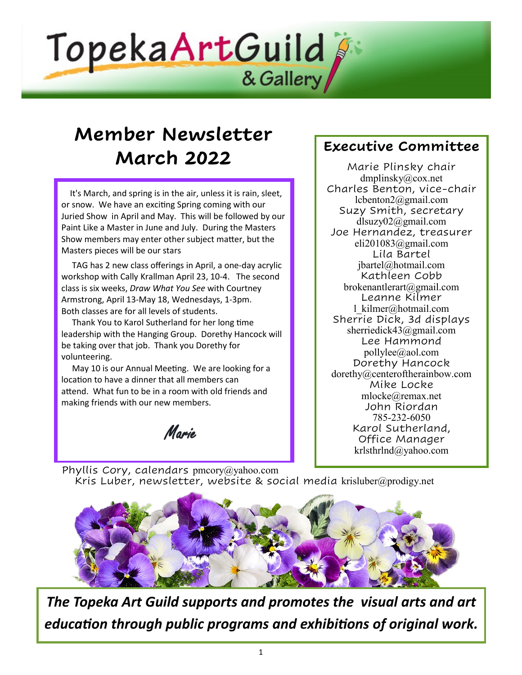

# **Member Newsletter March 2022**

 It's March, and spring is in the air, unless it is rain, sleet, or snow. We have an exciting Spring coming with our Juried Show in April and May. This will be followed by our Paint Like a Master in June and July. During the Masters Show members may enter other subject matter, but the Masters pieces will be our stars

 TAG has 2 new class offerings in April, a one-day acrylic workshop with Cally Krallman April 23, 10-4. The second class is six weeks, *Draw What You See* with Courtney Armstrong, April 13-May 18, Wednesdays, 1-3pm. Both classes are for all levels of students.

 Thank You to Karol Sutherland for her long time leadership with the Hanging Group. Dorethy Hancock will be taking over that job. Thank you Dorethy for volunteering.

 May 10 is our Annual Meeting. We are looking for a location to have a dinner that all members can attend. What fun to be in a room with old friends and making friends with our new members.

Marie

## **Executive Committee**

Marie Plinsky chair dmplinsky@cox.net Charles Benton, vice-chair lcbenton2@gmail.com Suzy Smith, secretary [dlsuzy02@gmail.com](mailto:dlsuzy02@gmail.com) Joe Hernandez, treasurer eli201083@gmail.com Lila Bartel [jbartel@hotmail.com](mailto:jbartel@hotmail.com) Kathleen Cobb brokenantlerart@gmail.com Leanne Kilmer [l\\_kilmer@hotmail.com](mailto:l_kilmer@hotmail.com) Sherrie Dick, 3d displays sherriedick43@gmail.com Lee Hammond pollylee@aol.com Dorethy Hancock dorethy@centeroftherainbow.com Mike Locke [mlocke@remax.net](mailto:mlocke@remax.net) John Riordan 785-232-6050 Karol Sutherland, Office Manager [krlsthrlnd@yahoo.com](mailto:krlsthrlnd@yahoo.com)

Phyllis Cory, calendars pmcory@yahoo.com Kris Luber, newsletter, website & social media [krisluber@prodigy.net](mailto:krisluber@prodigy.net)



*The Topeka Art Guild supports and promotes the visual arts and art education through public programs and exhibitions of original work.*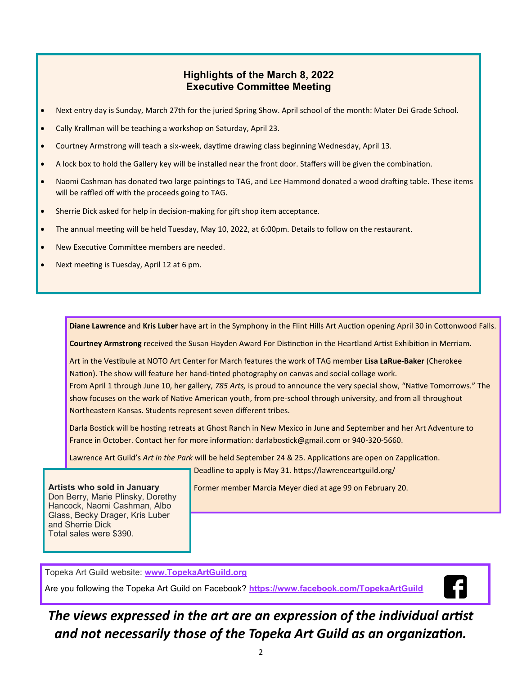#### **Highlights of the March 8, 2022 Executive Committee Meeting**

- Next entry day is Sunday, March 27th for the juried Spring Show. April school of the month: Mater Dei Grade School.
- Cally Krallman will be teaching a workshop on Saturday, April 23.
- Courtney Armstrong will teach a six-week, daytime drawing class beginning Wednesday, April 13.
- A lock box to hold the Gallery key will be installed near the front door. Staffers will be given the combination.
- Naomi Cashman has donated two large paintings to TAG, and Lee Hammond donated a wood drafting table. These items will be raffled off with the proceeds going to TAG.
- Sherrie Dick asked for help in decision-making for gift shop item acceptance.
- The annual meeting will be held Tuesday, May 10, 2022, at 6:00pm. Details to follow on the restaurant.
- New Executive Committee members are needed.
- Next meeting is Tuesday, April 12 at 6 pm.

**Diane Lawrence** and **Kris Luber** have art in the Symphony in the Flint Hills Art Auction opening April 30 in Cottonwood Falls.

**Courtney Armstrong** received the Susan Hayden Award For Distinction in the Heartland Artist Exhibition in Merriam.

Art in the Vestibule at NOTO Art Center for March features the work of TAG member **Lisa LaRue-Baker** (Cherokee Nation). The show will feature her hand-tinted photography on canvas and social collage work. From April 1 through June 10, her gallery, *785 Arts,* is proud to announce the very special show, "Native Tomorrows." The show focuses on the work of Native American youth, from pre-school through university, and from all throughout

Northeastern Kansas. Students represent seven different tribes.

Darla Bostick will be hosting retreats at Ghost Ranch in New Mexico in June and September and her Art Adventure to France in October. Contact her for more information: darlabostick@gmail.com or 940-320-5660.

Lawrence Art Guild's *Art in the Park* will be held September 24 & 25. Applications are open on Zapplication.

Deadline to apply is May 31. https://lawrenceartguild.org/

**Artists who sold in January** Don Berry, Marie Plinsky, Dorethy Hancock, Naomi Cashman, Albo Glass, Becky Drager, Kris Luber and Sherrie Dick Total sales were \$390.

Former member Marcia Meyer died at age 99 on February 20.

Topeka Art Guild website: **[www.TopekaArtGuild.o](topekaartguild.org)rg**

Are you following the Topeka Art Guild on Facebook? **[https://www.facebook.com/TopekaArtGuild](facebook.com/TopekaArtGuild)**



*The views expressed in the art are an expression of the individual artist and not necessarily those of the Topeka Art Guild as an organization.*